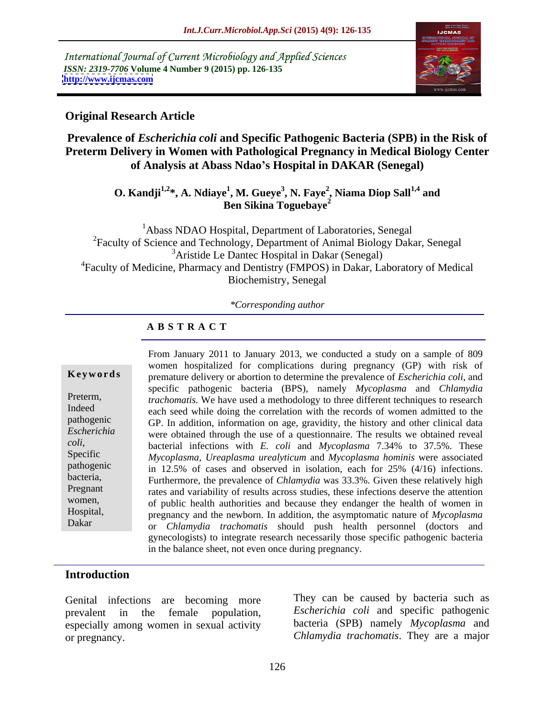International Journal of Current Microbiology and Applied Sciences *ISSN: 2319-7706* **Volume 4 Number 9 (2015) pp. 126-135 <http://www.ijcmas.com>**



## **Original Research Article**

## **Prevalence of** *Escherichia coli* **and Specific Pathogenic Bacteria (SPB) in the Risk of Preterm Delivery in Women with Pathological Pregnancy in Medical Biology Center of Analysis at Abass Ndao s Hospital in DAKAR (Senegal)**

**O. Kandji1,2\*, A. Ndiaye1 , M. Gueye<sup>3</sup> , N. Faye<sup>2</sup> , Niama Diop Sall1,4 and Ben Sikina Toguebaye<sup>2</sup>**

<sup>1</sup>Abass NDAO Hospital, Department of Laboratories, Senegal <sup>2</sup>Faculty of Science and Technology, Department of Animal Biology Dakar, Senegal 3Aristide Le Dantec Hospital in Dakar (Senegal) 4Faculty of Medicine, Pharmacy and Dentistry (FMPOS) in Dakar, Laboratory of Medical Biochemistry, Senegal

*\*Corresponding author*

## **A B S T R A C T**

Dakar

From January 2011 to January 2013, we conducted a study on a sample of 809 women hospitalized for complications during pregnancy (GP) with risk of **Keywords** premature delivery or abortion to determine the prevalence of *Escherichia coli*, and specific pathogenic bacteria (BPS), namely *Mycoplasma* and *Chlamydia*  Preterm, *trachomatis*. We have used a methodology to three different techniques to research Indeed each seed while doing the correlation with the records of women admitted to the pathogenic GP. In addition, information on age, gravidity, the history and other clinical data were obtained through the use of a questionnaire. The results we obtained reveal *Escherichia coli*, bacterial infections with *E. coli* and *Mycoplasma* 7.34% to 37.5%. These<br>Specific *Mycoplasma Ureaplasma urealyticum* and *Mycoplasma hominis* were associated *Mycoplasma, Ureaplasma urealyticum* and *Mycoplasma hominis* were associated in 12.5% of cases and observed in isolation, each for 25% (4/16) infections.<br>Furthermore, the prevalence of *Chlamydia* was 33.3%. Given these relatively high Pregnant rates and variability of results across studies, these infections deserve the attention of public health authorities and because they endanger the health of women in women, pregnancy and the newborn. In addition, the asymptomatic nature of*Mycoplasma* Hospital, or *Chlamydia trachomatis* should push health personnel (doctors and gynecologists) to integrate research necessarily those specific pathogenic bacteria in the balance sheet, not even once during pregnancy. pathogenic in 12.5% of cases and observed in isolation, each for 25% (4/16) infections. bacteria, Furthermore, the prevalence of *Chlamydia* was 33.3%. Given these relatively high

## **Introduction**

Genital infections are becoming more especially among women in sexual activity or pregnancy. *Chlamydia trachomatis*. They are a major

prevalent in the female population, *Escherichia coli* and specific pathogenic They can be caused by bacteria such as bacteria (SPB) namely *Mycoplasma* and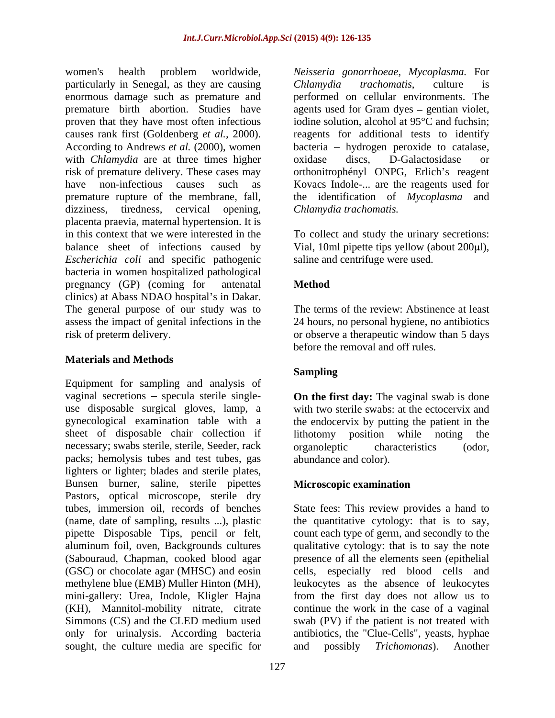women's health problem worldwide, *Neisseria gonorrhoeae*, *Mycoplasma.* For particularly in Senegal, as they are causing Chlamydia trachomatis, culture is enormous damage such as premature and performed on cellular environments. The premature birth abortion. Studies have agents used for Gram dyes – gentian violet, proven that they have most often infectious iodine solution, alcohol at 95°C and fuchsin; causes rank first (Goldenberg *et al.,* 2000). reagents for additional tests to identify According to Andrews *et al.* (2000), women bacteria – hydrogen peroxide to catalase, with *Chlamydia* are at three times higher oxidase discs, D-Galactosidase or risk of premature delivery. These cases may orthonitrophényl ONPG, Erlich's reagent have non-infectious causes such as Kovacs Indole-... are the reagents used for premature rupture of the membrane, fall, the identification of *Mycoplasma* and dizziness, tiredness, cervical opening, placenta praevia, maternal hypertension. It is in this context that we were interested in the To collect and study the urinary secretions: balance sheet of infections caused by Vial, 10ml pipette-tips yellow (about 200 $\mu$ l), *Escherichia coli* and specific pathogenic bacteria in women hospitalized pathological pregnancy (GP) (coming for antenatal **Method** clinics) at Abass NDAO hospital's in Dakar. The general purpose of our study was to assess the impact of genital infections in the 24 hours, no personal hygiene, no antibiotics risk of preterm delivery. or observe a therapeutic window than 5 days

## **Materials and Methods**

Equipment for sampling and analysis of vaginal secretions – specula sterile single- **On the first day:** The vaginal swab is done use disposable surgical gloves, lamp, a with two sterile swabs: at the ectocervix and gynecological examination table with a the endocervix by putting the patient in the sheet of disposable chair collection if lithotomy position while noting the necessary; swabs sterile, sterile, Seeder, rack organoleptic characteristics (odor, packs; hemolysis tubes and test tubes, gas lighters or lighter; blades and sterile plates, Bunsen burner, saline, sterile pipettes Pastors, optical microscope, sterile dry (name, date of sampling, results ...), plastic (KH), Mannitol-mobility nitrate, citrate sought, the culture media are specific for and possibly *Trichomonas*). Another

*Chlamydia trachomatis*, culture is oxidase discs, D-Galactosidase or *Chlamydia trachomatis.*

saline and centrifuge were used.

## **Method**

The terms of the review: Abstinence at least before the removal and off rules.

# **Sampling**

organoleptic characteristics (odor, abundance and color).

## **Microscopic examination**

tubes, immersion oil, records of benches State fees: This review provides a hand to pipette Disposable Tips, pencil or felt, count each type of germ, and secondly to the aluminum foil, oven, Backgrounds cultures qualitative cytology: that is to say the note (Sabouraud, Chapman, cooked blood agar presence of all the elements seen (epithelial (GSC) or chocolate agar (MHSC) and eosin cells, especially red blood cells and methylene blue (EMB) Muller Hinton (MH), leukocytes as the absence of leukocytes mini-gallery: Urea, Indole, Kligler Hajna from the first day does not allow us to Simmons (CS) and the CLED medium used swab (PV) if the patient is not treated with only for urinalysis. According bacteria antibiotics, the "Clue-Cells", yeasts, hyphae the quantitative cytology: that is to say, continue the work in the case of a vaginal possibly *Trichomonas*).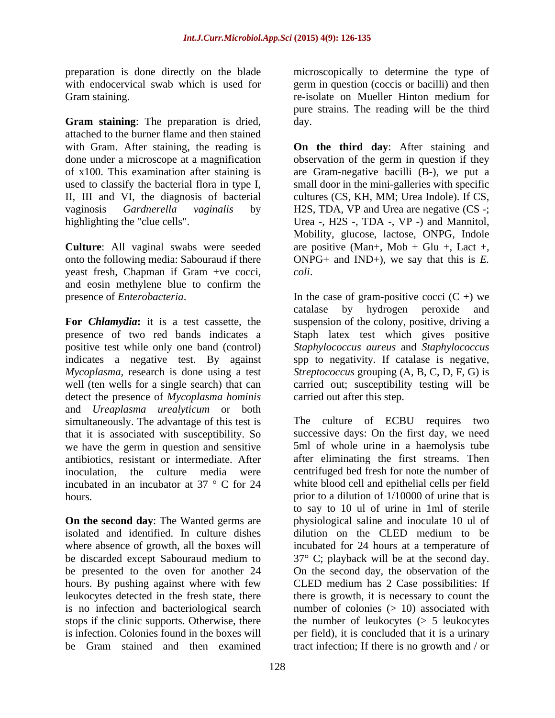Gram staining: The preparation is dried, day. attached to the burner flame and then stained

**Culture**: All vaginal swabs were seeded yeast fresh, Chapman if Gram +ve cocci, and eosin methylene blue to confirm the

detect the presence of *Mycoplasma hominis* and *Ureaplasma urealyticum* or both simultaneously. The advantage of this test is we have the germ in question and sensitive<br>antibiotics, resistant or intermediate. After

**On the second day**: The Wanted germs are isolated and identified. In culture dishes dilution on the CLED medium to be where absence of growth, all the boxes will incubated for 24 hours at a temperature of is no infection and bacteriological search

preparation is done directly on the blade microscopically to determine the type of with endocervical swab which is used for germ in question (coccis or bacilli) and then Gram staining. The state of School and Te-isolate on Mueller Hinton medium for re-isolate on Mueller Hinton medium for pure strains. The reading will be the third day.

with Gram. After staining, the reading is **On the third day**: After staining and done under a microscope at a magnification observation of the germ in question if they of x100. This examination after staining is are Gram-negative bacilli (B-), we put a used to classify the bacterial flora in type I, small door in the mini-galleries with specific II, III and VI, the diagnosis of bacterial cultures (CS, KH, MM; Urea Indole). If CS, vaginosis *Gardnerella vaginalis* by H2S, TDA, VP and Urea are negative (CS -; highlighting the "clue cells". Urea -, H2S -, TDA -, VP -) and Mannitol, onto the following media: Sabouraud if there ONPG+ and IND+), we say that this is *E.* Mobility, glucose, lactose, ONPG, Indole are positive (Man+, Mob + Glu +, Lact +, *coli*.

presence of *Enterobacteria*. In the case of gram-positive cocci (C +) we **For** *Chlamydia***:** it is a test cassette, the suspension of the colony, positive, driving a presence of two red bands indicates a Staph latex test which gives positive positive test while only one band (control) *Staphylococcus aureus* and *Staphylococcus*  indicates a negative test. By against spp to negativity. If catalase is negative, *Mycoplasma,* research is done using a test *Streptococcus* grouping (A, B, C, D, F, G) is well (ten wells for a single search) that can carried out; susceptibility testing will be catalase by hydrogen peroxide and carried out after this step.

that it is associated with susceptibility. So successive days: On the first day, we need antibiotics, resistant or intermediate. After after eliminating the first streams. Then inoculation, the culture media were centrifuged bed fresh for note the number of incubated in an incubator at 37 ° C for 24 white blood cell and epithelial cells per field hours. The prior to a dilution of  $1/10000$  of urine that is where absence of growth, all the boxes will incubated for 24 hours at a temperature of be discarded except Sabouraud medium to 37° C; playback will be at the second day. be presented to the oven for another 24 On the second day, the observation of the hours. By pushing against where with few CLED medium has 2 Case possibilities: If leukocytes detected in the fresh state, there there is growth, it is necessary to count the stops if the clinic supports. Otherwise, there the number of leukocytes (> 5 leukocytes is infection. Colonies found in the boxes will per field), it is concluded that it is a urinary be Gram stained and then examined tract infection; If there is no growth and / orThe culture of ECBU requires two 5ml of whole urine in a haemolysis tube to say to 10 ul of urine in 1ml of sterile physiological saline and inoculate 10 ul of dilution on the CLED medium to be number of colonies  $(> 10)$  associated with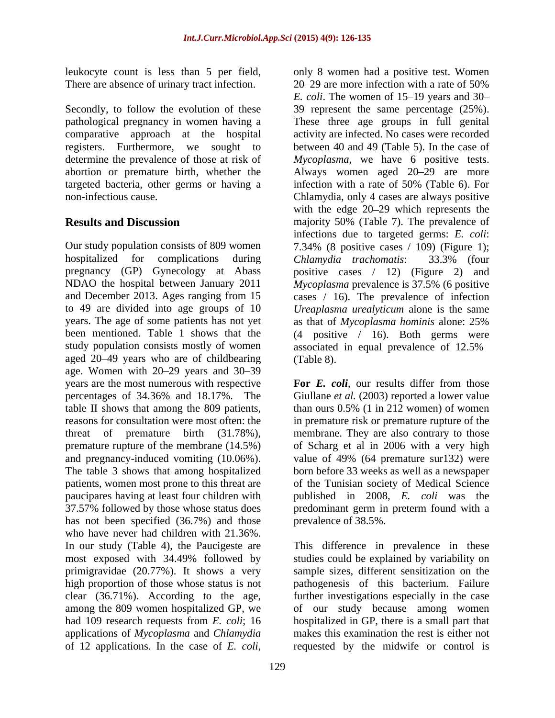There are absence of urinary tract infection. 20–29 are more infection with a rate of 50%

Secondly, to follow the evolution of these pathological pregnancy in women having a

Our study population consists of 809 women 7.34% (8 positive cases / 109) (Figure 1); hospitalized for complications during Chlamydia trachomatis: 33.3% (four years. The age of some patients has not yet as that of Mycoplasma hominis alone: 25% study population consists mostly of women associated in equal prevalence of 12.5% aged 20–49 years who are of childbearing (Table 8). age. Women with  $20-29$  years and  $30-39$ premature rupture of the membrane (14.5%) has not been specified  $(36.7%)$  and those prevalence of 38.5%. who have never had children with 21.36%. had 109 research requests from *E. coli*; 16 applications of *Mycoplasma* and *Chlamydia*  of 12 applications. In the case of *E. coli*, requested by the midwife or control is

leukocyte count is less than 5 per field, only 8 women had a positive test. Women comparative approach at the hospital activity are infected. No cases were recorded registers. Furthermore, we sought to between 40 and 49 (Table 5). In the case of determine the prevalence of those at risk of *Mycoplasma*, we have 6 positive tests. abortion or premature birth, whether the Always women aged 20–29 are more targeted bacteria, other germs or having a infection with a rate of 50% (Table 6). For non-infectious cause. Chlamydia, only 4 cases are always positive **Results and Discussion** majority 50% (Table 7). The prevalence of pregnancy (GP) Gynecology at Abass positive cases / 12) (Figure 2) and NDAO the hospital between January 2011 *Mycoplasma* prevalence is 37.5% (6 positive and December 2013. Ages ranging from 15 cases / 16). The prevalence of infection to 49 are divided into age groups of 10 *Ureaplasma urealyticum* alone is the same been mentioned. Table 1 shows that the (4 positive / 16). Both germs were 20 29 are more infection with a rate of 50% *E. coli.* The women of 15–19 years and 30– 39 represent the same percentage (25%). These three age groups in full genital with the edge  $20-29$  which represents the infections due to targeted germs: *E. coli*: 7.34% (8 positive cases / 109) (Figure 1); *Chlamydia trachomatis*: 33.3% (four as that of *Mycoplasma hominis* alone: 25% associated in equal prevalence of 12.5% (Table 8).

years are the most numerous with respective **For** *E. coli*, our results differ from those percentages of 34.36% and 18.17%. The Giullane *et al.* (2003) reported a lower value table II shows that among the 809 patients, than ours 0.5% (1 in 212 women) of women reasons for consultation were most often: the in premature risk or premature rupture of the threat of premature birth (31.78%), membrane. They are also contrary to those and pregnancy-induced vomiting (10.06%). value of 49% (64 premature sur132) were The table 3 shows that among hospitalized born before 33 weeks as well as a newspaper patients, women most prone to this threat are of the Tunisian society of Medical Science paucipares having at least four children with published in 2008, *E. coli* was the 37.57% followed by those whose status does predominant germ in preterm found with a of Scharg et al in 2006 with a very high prevalence of 38.5%.

In our study (Table 4), the Paucigeste are This difference in prevalence in these most exposed with 34.49% followed by studies could be explained by variability on primigravidae (20.77%). It shows a very sample sizes, different sensitization on the high proportion of those whose status is not pathogenesis of this bacterium. Failure clear (36.71%). According to the age, further investigations especially in the case among the 809 women hospitalized GP, we of our study because among women hospitalized in GP, there is a small part that makes this examination the rest is either not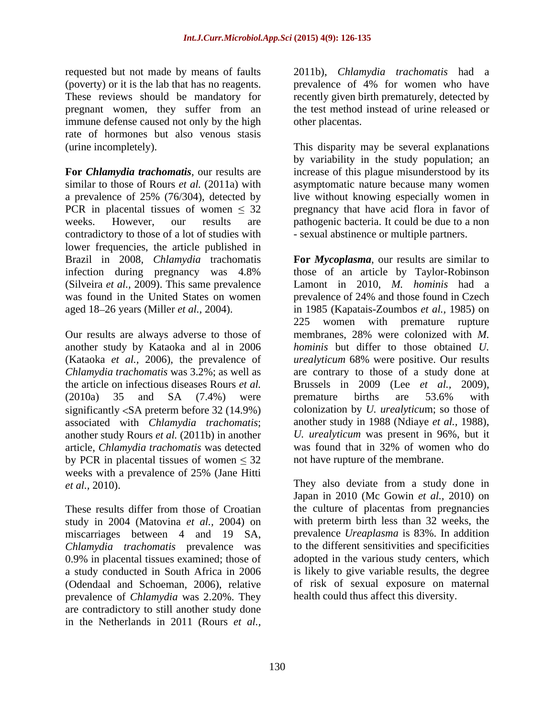requested but not made by means of faults 2011b), *Chlamydia trachomatis* had a (poverty) or it is the lab that has no reagents. These reviews should be mandatory for recently given birth prematurely, detected by pregnant women, they suffer from an the test method instead of urine released or immune defense caused not only by the high other placentas. rate of hormones but also venous stasis

**For** *Chlamydia trachomatis*, our results are increase of this plague misunderstood by its similar to those of Rours *et al.* (2011a) with asymptomatic nature because many women a prevalence of 25% (76/304), detected by live without knowing especially women in PCR in placental tissues of women  $\leq 32$  pregnancy that have acid flora in favor of weeks. However, our results are pathogenic bacteria. It could be due to a non contradictory to those of a lot of studies with lower frequencies, the article published in Brazil in 2008, *Chlamydia* trachomatis **For** *Mycoplasma*, our results are similar to (Silveira *et al.,* 2009). This same prevalence was found in the United States on women prevalence of 24% and those found in Czech

another study by Kataoka and al in 2006 another study Rours *et al.* (2011b) in another article, *Chlamydia trachomatis* was detected by PCR in placental tissues of women  $\leq 32$ weeks with a prevalence of 25% (Jane Hitti

study in 2004 (Matovina *et al.,* 2004) on miscarriages between 4 and 19 SA, *Chlamydia trachomatis* prevalence was a study conducted in South Africa in 2006 (Odendaal and Schoeman, 2006), relative prevalence of *Chlamydia* was 2.20%. They are contradictory to still another study done in the Netherlands in 2011 (Rours *et al.,*

prevalence of 4% for women who have other placentas.

(urine incompletely). This disparity may be several explanations by variability in the study population; an - sexual abstinence or multiple partners.

infection during pregnancy was 4.8% aged 18 26 years (Miller *et al.,* 2004). in 1985 (Kapatais-Zoumbos *et al.,* 1985) on Our results are always adverse to those of membranes, 28% were colonized with *M.* (Kataoka *et al.,* 2006), the prevalence of *urealyticum* 68% were positive. Our results *Chlamydia trachomatis* was 3.2%; as well as are contrary to those of a study done at the article on infectious diseases Rours *et al.* Brussels in 2009 (Lee *et al.,* 2009),  $(2010a)$  35 and SA  $(7.4\%)$  were premature births are 53.6% with significantly <SA preterm before 32 (14.9%) colonization by *U. urealyticum*; so those of associated with *Chlamydia trachomatis*; another study in 1988 (Ndiaye *et al.*, 1988), those of an article by Taylor-Robinson Lamont in 2010, *M. hominis* had a prevalence of 24% and those found in Czech 225 women with premature rupture *hominis* but differ to those obtained *U.* premature births are 53.6% with colonization by *U. urealyticu*m; so those of another study in 1988 (Ndiaye *et al.,* 1988), *U. urealyticum* was present in 96%, but it was found that in 32% of women who do not have rupture of the membrane.

*et al.,* 2010). They also deviate from a study done in These results differ from those of Croatian the culture of placentas from pregnancies 0.9% in placental tissues examined; those of adopted in the various study centers, which Japan in 2010 (Mc Gowin *et al.,* 2010) on with preterm birth less than 32 weeks, the prevalence *Ureaplasma* is 83%. In addition to the different sensitivities and specificities is likely to give variable results, the degree of risk of sexual exposure on maternal health could thus affect this diversity.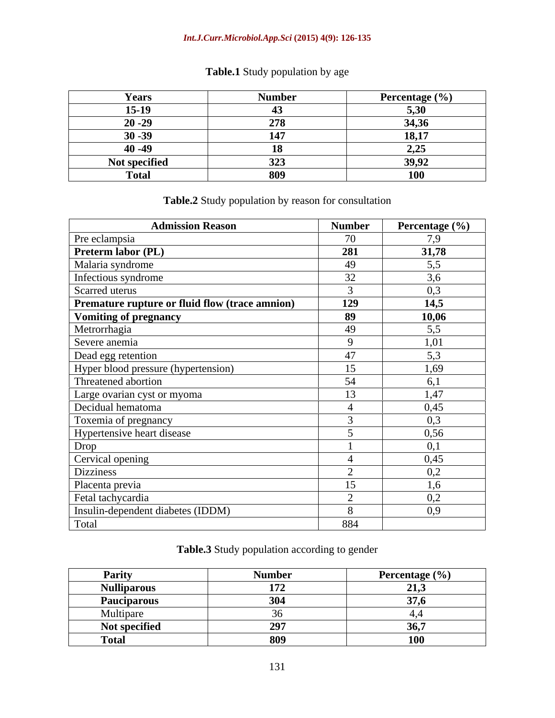### *Int.J.Curr.Microbiol.App.Sci* **(2015) 4(9): 126-135**

## **Table.1** Study population by age

| Years                                     | <b>Number</b> | Percentage $(\% )$            |
|-------------------------------------------|---------------|-------------------------------|
| $15-19$                                   |               | $\mathbf{z}$<br>ັບບ           |
| $\Delta \Delta$ $\Delta \Delta$<br>ZU -43 |               | 34,36                         |
| $30 - 39$                                 | 147           | 18,17                         |
| 4V -4Y                                    |               | $\bullet$ $\bullet$ $\bullet$ |
| Not specified                             | ິ             | 39,92                         |
| <b>Total</b>                              | 809           | <b>100</b>                    |

| <b>Admission Reason</b>                        | <b>Number</b> | Percentage $(\% )$ |
|------------------------------------------------|---------------|--------------------|
| Pre eclampsia                                  | 70            | 7,9                |
| <b>Preterm labor (PL)</b>                      | 281           | 31,78              |
| Malaria syndrome                               | 49            | 5,5                |
| Infectious syndrome                            | 32            | 3,6                |
| Scarred uterus                                 | $\sim$        | 0,3                |
| Premature rupture or fluid flow (trace amnion) | 129           | 14,5               |
| <b>Vomiting of pregnancy</b>                   | 89            | 10,06              |
| Metrorrhagia                                   | 49            | 5,5                |
| Severe anemia                                  | $\mathbf{Q}$  | 1,01               |
| Dead egg retention                             | 47            | 5,3                |
| Hyper blood pressure (hypertension)            | 15            | 1,69               |
| Threatened abortion                            | 54            | 6,1                |
| Large ovarian cyst or myoma                    | 13            | 1,47               |
| Decidual hematoma                              |               | 0,45               |
| Toxemia of pregnancy                           |               | 0,3                |
| Hypertensive heart disease                     |               | 0,56               |
| Drop                                           |               | 0,1                |
| Cervical opening                               |               | 0,45               |
| Dizziness                                      | $\sim$        | 0,2                |
| Placenta previa                                | 15            | 1,6                |
| Fetal tachycardia                              | $\Omega$      | 0,2                |
| Insulin-dependent diabetes (IDDM)              | 8             | 0,9                |
| Total                                          | 884           |                    |

## **Table.2** Study population by reason for consultation

## **Table.3** Study population according to gender

| rarity             | Number | $\sqrt{2}$<br>Percentage<br>. |
|--------------------|--------|-------------------------------|
| <b>Nulliparous</b> |        | 212<br>有主义                    |
| Pauciparous        |        | $\sim$ $\sim$                 |
| Multipare          |        |                               |
| Not specified      | ,,     | $\sim$ $\sim$ $\sim$<br>vv.   |
| <b>Total</b>       | 809    | <b>100</b>                    |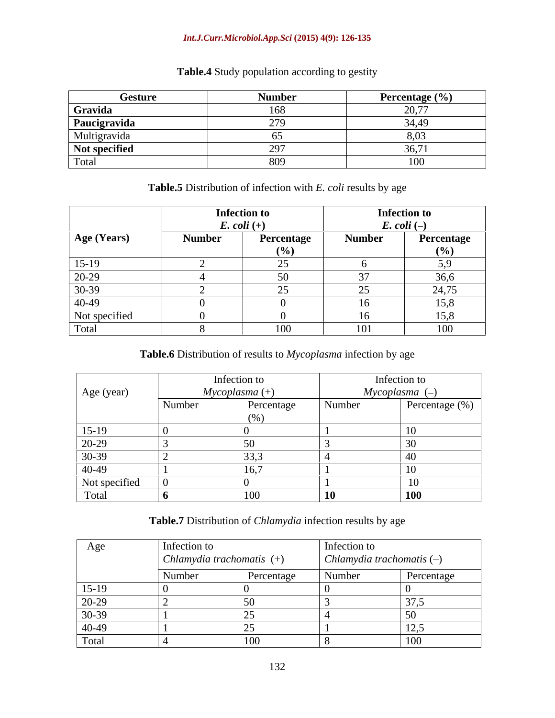### *Int.J.Curr.Microbiol.App.Sci* **(2015) 4(9): 126-135**

## **Table.4** Study population according to gestity

| Gesture        | Number | Percentage (%)          |
|----------------|--------|-------------------------|
| <b>Gravida</b> |        | $\sim, \prime$          |
| Paucigravida   |        | 74,4,                   |
| Multigravida   |        | 8,03                    |
| Not specified  |        | $\sim$ $\sim$<br>ึง - ก |
| Total          | 0U Z   | 100                     |

**Table.5** Distribution of infection with *E. coli* results by age

|                    |                        | <b>Infection to</b> |               | <b>Infection to</b>    |
|--------------------|------------------------|---------------------|---------------|------------------------|
|                    | $E. \text{ } coli (+)$ |                     |               | $E. \text{ coli } (-)$ |
| <b>Age (Years)</b> | <b>Number</b>          | Percentage          | <b>Number</b> | Percentage             |
|                    |                        | (%)                 |               | (9/0)                  |
| $15-19$            |                        |                     |               | ر و ب                  |
| $20-29$            |                        | 50                  |               | 36,6                   |
| 30-39              |                        |                     | ∸-            | 24,75                  |
| 40-49              |                        |                     |               | 15,8                   |
| Not specified      |                        |                     |               | 15,8                   |
| Total              |                        | 100                 | 101           | 100                    |

## **Table.6** Distribution of results to *Mycoplasma* infection by age

|                 |        | Infection to     |        | Infection to       |
|-----------------|--------|------------------|--------|--------------------|
| Age (year)      |        | $Mycoplasma (+)$ |        | $Mycoplasma$ $(-)$ |
|                 | Number | Percentage       | Number | Percentage (%)     |
|                 |        | (%)              |        |                    |
| $15-19$         |        |                  |        | 10                 |
| 20-29           |        |                  |        |                    |
| 30-39           |        | 33,3             |        |                    |
| $ 40-49\rangle$ |        | 16,7             |        | 10                 |
| Not specified   |        |                  |        |                    |
| Total           |        | 100              | 10     | <b>100</b>         |

**Table.7** Distribution of *Chlamydia* infection results by age

| Age     | Infection to | Chlamydia trachomatis $(+)$ | Infection to | $\vert$ Chlamydia trachomatis $\vert$ - |
|---------|--------------|-----------------------------|--------------|-----------------------------------------|
|         | Number       | Percentage                  | Number       | Percentage                              |
| $15-19$ |              |                             |              |                                         |
| $20-29$ |              |                             |              |                                         |
| $30-39$ |              |                             |              |                                         |
| 40-49   |              |                             |              | ⊥∠⊸                                     |
| Total   |              | 100                         |              | 1 <sub>0</sub><br>1 V V                 |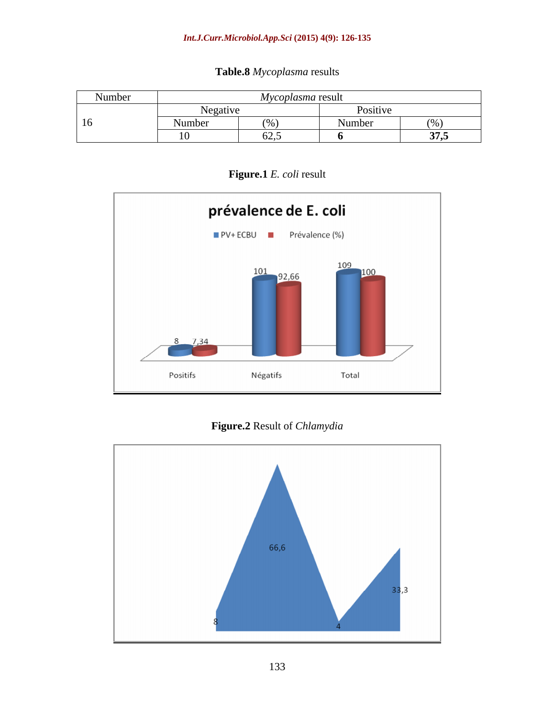## *Int.J.Curr.Microbiol.App.Sci* **(2015) 4(9): 126-135**

| Number |              | <i>Mycoplasma</i> result          |                        |                         |
|--------|--------------|-----------------------------------|------------------------|-------------------------|
|        | Negative     |                                   | Positive               |                         |
| 16     | Number       | (0)                               | $\mathbf{r}$<br>Number | (0)                     |
|        | $\mathbf{U}$ | $\mathsf{v}\mathsf{w},\mathsf{v}$ |                        | $\sim$ $\sim$<br>ັບ ≀ ∙ |

**Figure.1** *E. coli* result



**Figure.2** Result of *Chlamydia* 

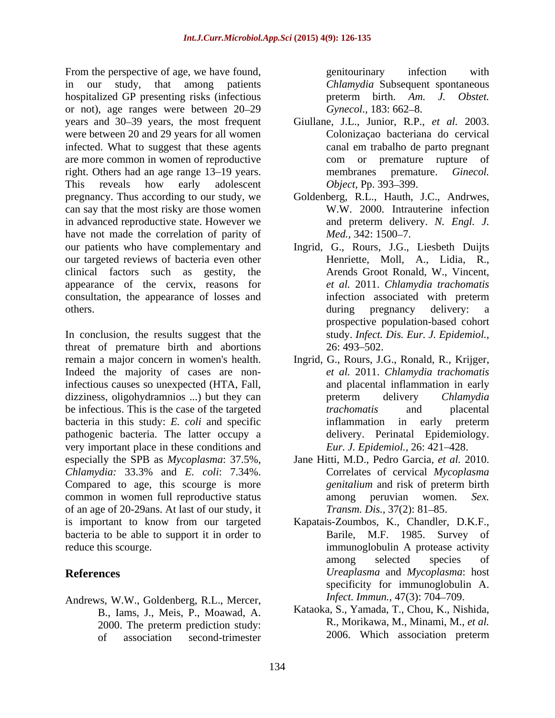From the perspective of age, we have found, equitourinary infection with in our study, that among patients hospitalized GP presenting risks (infectious preterm birth. Am. J. Obstet. or not), age ranges were between  $20-29$  Gynecol., 183:662-8. years and 30–39 years, the most frequent Giullane, J.L., Junior, R.P., *et al.* 2003. were between 20 and 29 years for all women infected. What to suggest that these agents canal em trabalho de parto pregnant are more common in women of reproductive com or premature rupture of right. Others had an age range 13–19 years. membranes premature. *Ginecol.* This reveals how early adolescent *Object*, Pp. 393–399. pregnancy. Thus according to our study, we Goldenberg, R.L., Hauth, J.C., Andrwes, can say that the most risky are those women in advanced reproductive state. However we and preterm delivery. N. Engl. J. have not made the correlation of parity of *Med.*, 342: 1500–7. our patients who have complementary and Ingrid, G., Rours, J.G., Liesbeth Duijts our targeted reviews of bacteria even other clinical factors such as gestity, the Arends Groot Ronald, W., Vincent, appearance of the cervix, reasons for consultation, the appearance of losses and others. The contract of the contract of the contract of the contract of the contract of the contract of the contract of the contract of the contract of the contract of the contract of the contract of the contract of the co

In conclusion, the results suggest that the threat of premature birth and abortions 26:493-502. remain a major concern in women's health. Ingrid, G., Rours, J.G., Ronald, R., Krijger, Indeed the majority of cases are noninfectious causes so unexpected (HTA, Fall, dizziness, oligohydramnios ...) but they can preterm delivery *Chlamydia* be infectious. This is the case of the targeted *trachomatis* and placental bacteria in this study: *E. coli* and specific pathogenic bacteria. The latter occupy a very important place in these conditions and especially the SPB as *Mycoplasma*: 37.5%, Jane Hitti, M.D., Pedro Garcia, *et al.* 2010. *Chlamydia:* 33.3% and *E. coli*: 7.34%. Compared to age, this scourge is more *genitalium* and risk of preterm birth common in women full reproductive status among peruvian women. Sex. of an age of 20-29ans. At last of our study, it Transm. Dis., 37(2): 81–85. is important to know from our targeted Kapatais-Zoumbos, K., Chandler, D.K.F., bacteria to be able to support it in order to Barile, M.F. 1985. Survey of

Andrews, W.W., Goldenberg, R.L., Mercer, B., Iams, J., Meis, P., Moawad, A. of association second-trimester 2006. Which association preterm

genitourinary infection with *Chlamydia* Subsequent spontaneous preterm birth. *Am. J. Obstet. Gynecol.,* 183: 662–8.

- Colonizaçao bacteriana do cervical canal em trabalho de parto pregnant com or premature rupture of membranes premature. *Ginecol. Object, Pp.* 393–399.
- W.W. 2000. Intrauterine infection and preterm delivery. *N. Engl. J. Med.,* 342: 1500–7.
- Henriette, Moll, A., Lidia, R., *et al.* 2011. *Chlamydia trachomatis* infection associated with preterm during pregnancy delivery: a prospective population-based cohort study. *Infect. Dis. Eur. J. Epidemiol.,* 26: 493–502.
- *et al.* 2011. *Chlamydia trachomatis* and placental inflammation in early preterm delivery *Chlamydia trachomatis* and placental inflammation in early preterm delivery. Perinatal Epidemiology. *Eur. J. Epidemiol., 26: 421-428.*
- Correlates of cervical *Mycoplasma genitalium* and risk of preterm birth among peruvian women. *Sex. Transm. Dis.,* 37(2): 81–85.
- reduce this scourge. immunoglobulin A protease activity **References** *Ureaplasma* and *Mycoplasma*: host Barile, M.F. 1985. Survey among selected species of specificity for immunoglobulin A. *Infect. Immun., 47(3): 704-709.* 
	- 2000. The preterm prediction study: **EXEC BELOCAL REGISTER**, MOTIKAWA, M., MINAMI, M., *et al.* Kataoka, S., Yamada, T., Chou, K., Nishida, R., Morikawa, M., Minami, M., *et al.*  2006. Which association preterm